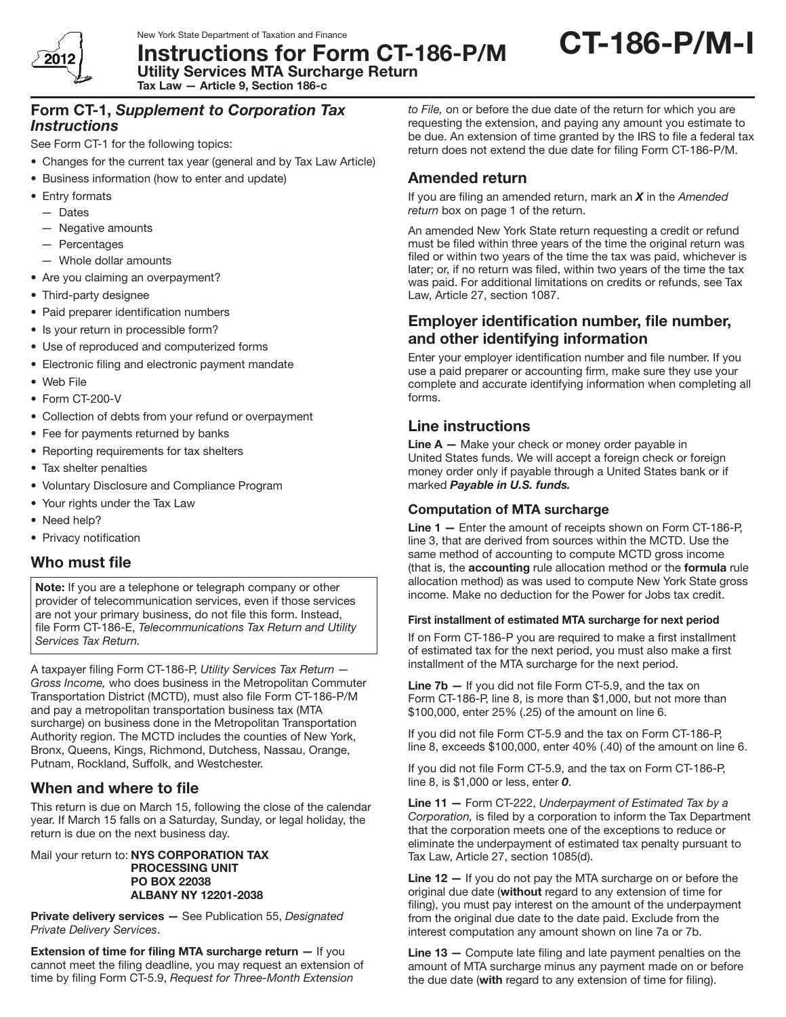

Utility Services MTA Surcharge Return

Instructions for Form CT-186-P/M

CT-186-P/M-I

Form CT-1, *Supplement to Corporation Tax*  Tax Law — Article 9, Section 186-c

### *Instructions*

See Form CT-1 for the following topics:

- Changes for the current tax year (general and by Tax Law Article)
- Business information (how to enter and update)
- Entry formats
	- — Dates
	- — Negative amounts
	- — Percentages
	- — Whole dollar amounts
- Are you claiming an overpayment?
- Third-party designee
- Paid preparer identification numbers
- Is your return in processible form?
- Use of reproduced and computerized forms
- Electronic filing and electronic payment mandate
- • Web File
- Form CT-200-V
- Collection of debts from your refund or overpayment
- Fee for payments returned by banks
- Reporting requirements for tax shelters
- Tax shelter penalties
- • Voluntary Disclosure and Compliance Program
- Your rights under the Tax Law
- Need help?
- Privacy notification

## Who must file

Note: If you are a telephone or telegraph company or other provider of telecommunication services, even if those services are not your primary business, do not file this form. Instead, file Form CT-186-E, *Telecommunications Tax Return and Utility Services Tax Return.* 

A taxpayer filing Form CT-186-P, *Utility Services Tax Return — Gross Income,* who does business in the Metropolitan Commuter Transportation District (MCTD), must also file Form CT‑186‑P/M and pay a metropolitan transportation business tax (MTA surcharge) on business done in the Metropolitan Transportation Authority region. The MCTD includes the counties of New York, Bronx, Queens, Kings, Richmond, Dutchess, Nassau, Orange, Putnam, Rockland, Suffolk, and Westchester.

## When and where to file

This return is due on March 15, following the close of the calendar year. If March 15 falls on a Saturday, Sunday, or legal holiday, the return is due on the next business day.

Mail your return to: NYS CORPORATION TAX PROCESSING UNIT PO BOX 22038 ALBANY NY 12201-2038

Private delivery services — See Publication 55, *Designated Private Delivery Services*.

Extension of time for filing MTA surcharge return - If you cannot meet the filing deadline, you may request an extension of time by filing Form CT-5.9, *Request for Three-Month Extension* 

*to File,* on or before the due date of the return for which you are requesting the extension, and paying any amount you estimate to be due. An extension of time granted by the IRS to file a federal tax return does not extend the due date for filing Form CT-186-P/M.

# Amended return

If you are filing an amended return, mark an *X* in the *Amended return* box on page 1 of the return.

An amended New York State return requesting a credit or refund must be filed within three years of the time the original return was filed or within two years of the time the tax was paid, whichever is later; or, if no return was filed, within two years of the time the tax was paid. For additional limitations on credits or refunds, see Tax Law, Article 27, section 1087.

## Employer identification number, file number, and other identifying information

Enter your employer identification number and file number. If you use a paid preparer or accounting firm, make sure they use your complete and accurate identifying information when completing all forms.

## Line instructions

Line A - Make your check or money order payable in United States funds. We will accept a foreign check or foreign money order only if payable through a United States bank or if marked *Payable in U.S. funds.*

### Computation of MTA surcharge

Line  $1 -$  Enter the amount of receipts shown on Form CT-186-P, line 3, that are derived from sources within the MCTD. Use the same method of accounting to compute MCTD gross income (that is, the accounting rule allocation method or the formula rule allocation method) as was used to compute New York State gross income. Make no deduction for the Power for Jobs tax credit.

#### First installment of estimated MTA surcharge for next period

If on Form CT-186-P you are required to make a first installment of estimated tax for the next period, you must also make a first installment of the MTA surcharge for the next period.

Line 7b - If you did not file Form CT-5.9, and the tax on Form CT-186-P, line 8, is more than \$1,000, but not more than \$100,000, enter 25% (.25) of the amount on line 6.

If you did not file Form CT-5.9 and the tax on Form CT-186-P, line 8, exceeds \$100,000, enter 40% (.40) of the amount on line 6.

If you did not file Form CT-5.9, and the tax on Form CT-186-P, line 8, is \$1,000 or less, enter *0*.

Line 11 — Form CT-222, *Underpayment of Estimated Tax by a Corporation,* is filed by a corporation to inform the Tax Department that the corporation meets one of the exceptions to reduce or eliminate the underpayment of estimated tax penalty pursuant to Tax Law, Article 27, section 1085(d).

Line 12 – If you do not pay the MTA surcharge on or before the original due date (without regard to any extension of time for filing), you must pay interest on the amount of the underpayment from the original due date to the date paid. Exclude from the interest computation any amount shown on line 7a or 7b.

Line 13 - Compute late filing and late payment penalties on the amount of MTA surcharge minus any payment made on or before the due date (with regard to any extension of time for filing).